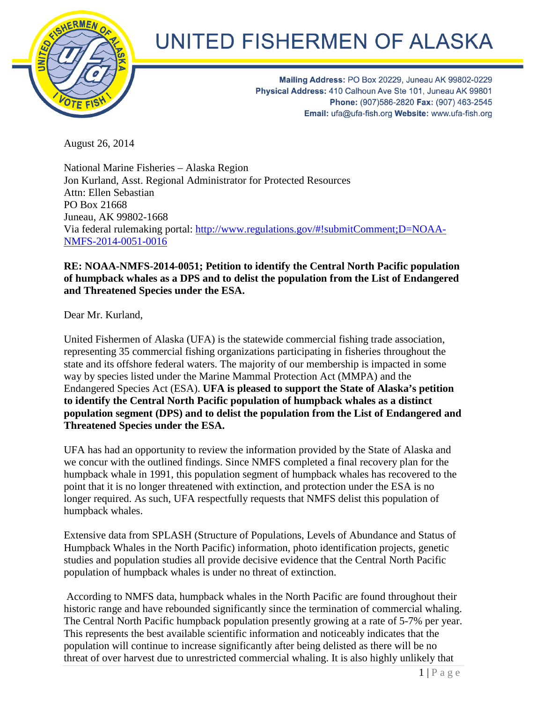

## UNITED FISHERMEN OF ALASKA

Mailing Address: PO Box 20229, Juneau AK 99802-0229 Physical Address: 410 Calhoun Ave Ste 101, Juneau AK 99801 Phone: (907)586-2820 Fax: (907) 463-2545 Email: ufa@ufa-fish.org Website: www.ufa-fish.org

August 26, 2014

National Marine Fisheries – Alaska Region Jon Kurland, Asst. Regional Administrator for Protected Resources Attn: Ellen Sebastian PO Box 21668 Juneau, AK 99802-1668 Via federal rulemaking portal: [http://www.regulations.gov/#!submitComment;D=NOAA-](http://www.regulations.gov/%23!submitComment;D=NOAA-NMFS-2014-0051-0016)[NMFS-2014-0051-0016](http://www.regulations.gov/%23!submitComment;D=NOAA-NMFS-2014-0051-0016)

## **RE: NOAA-NMFS-2014-0051; Petition to identify the Central North Pacific population of humpback whales as a DPS and to delist the population from the List of Endangered and Threatened Species under the ESA.**

Dear Mr. Kurland,

United Fishermen of Alaska (UFA) is the statewide commercial fishing trade association, representing 35 commercial fishing organizations participating in fisheries throughout the state and its offshore federal waters. The majority of our membership is impacted in some way by species listed under the Marine Mammal Protection Act (MMPA) and the Endangered Species Act (ESA). **UFA is pleased to support the State of Alaska's petition to identify the Central North Pacific population of humpback whales as a distinct population segment (DPS) and to delist the population from the List of Endangered and Threatened Species under the ESA.** 

UFA has had an opportunity to review the information provided by the State of Alaska and we concur with the outlined findings. Since NMFS completed a final recovery plan for the humpback whale in 1991, this population segment of humpback whales has recovered to the point that it is no longer threatened with extinction, and protection under the ESA is no longer required. As such, UFA respectfully requests that NMFS delist this population of humpback whales.

Extensive data from SPLASH (Structure of Populations, Levels of Abundance and Status of Humpback Whales in the North Pacific) information, photo identification projects, genetic studies and population studies all provide decisive evidence that the Central North Pacific population of humpback whales is under no threat of extinction.

According to NMFS data, humpback whales in the North Pacific are found throughout their historic range and have rebounded significantly since the termination of commercial whaling. The Central North Pacific humpback population presently growing at a rate of 5-7% per year. This represents the best available scientific information and noticeably indicates that the population will continue to increase significantly after being delisted as there will be no threat of over harvest due to unrestricted commercial whaling. It is also highly unlikely that